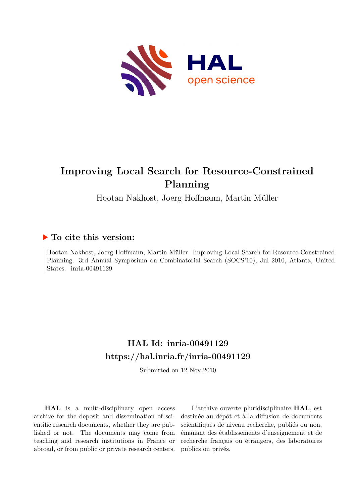

# **Improving Local Search for Resource-Constrained Planning**

Hootan Nakhost, Joerg Hoffmann, Martin Müller

### **To cite this version:**

Hootan Nakhost, Joerg Hoffmann, Martin Müller. Improving Local Search for Resource-Constrained Planning. 3rd Annual Symposium on Combinatorial Search (SOCS'10), Jul 2010, Atlanta, United States. inria-00491129

## **HAL Id: inria-00491129 <https://hal.inria.fr/inria-00491129>**

Submitted on 12 Nov 2010

**HAL** is a multi-disciplinary open access archive for the deposit and dissemination of scientific research documents, whether they are published or not. The documents may come from teaching and research institutions in France or abroad, or from public or private research centers.

L'archive ouverte pluridisciplinaire **HAL**, est destinée au dépôt et à la diffusion de documents scientifiques de niveau recherche, publiés ou non, émanant des établissements d'enseignement et de recherche français ou étrangers, des laboratoires publics ou privés.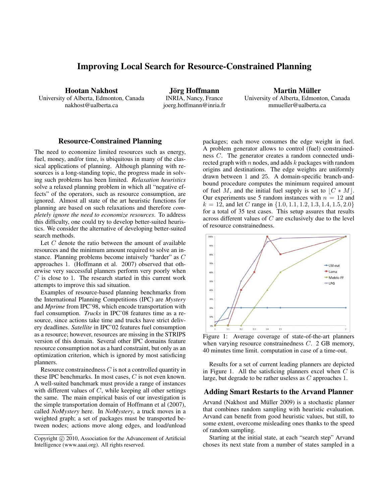### Improving Local Search for Resource-Constrained Planning

Hootan Nakhost University of Alberta, Edmonton, Canada nakhost@ualberta.ca

Jörg Hoffmann INRIA, Nancy, France joerg.hoffmann@inria.fr

Martin Müller University of Alberta, Edmonton, Canada mmueller@ualberta.ca

#### Resource-Constrained Planning

The need to economize limited resources such as energy, fuel, money, and/or time, is ubiquitous in many of the classical applications of planning. Although planning with resources is a long-standing topic, the progress made in solving such problems has been limited. *Relaxation heuristics* solve a relaxed planning problem in which all "negative effects" of the operators, such as resource consumption, are ignored. Almost all state of the art heuristic functions for planning are based on such relaxations and therefore *completely ignore the need to economize resources*. To address this difficulty, one could try to develop better-suited heuristics. We consider the alternative of developing better-suited search methods.

Let  $C$  denote the ratio between the amount of available resources and the minimum amount required to solve an instance. Planning problems become intuively "harder" as C approaches 1. (Hoffmann et al. 2007) observed that otherwise very successful planners perform very poorly when  $C$  is close to 1. The research started in this current work attempts to improve this sad situation.

Examples of resource-based planning benchmarks from the International Planning Competitions (IPC) are *Mystery* and *Mprime* from IPC'98, which encode transportation with fuel consumption. *Trucks* in IPC'08 features time as a resource, since actions take time and trucks have strict delivery deadlines. *Satellite* in IPC'02 features fuel consumption as a resource; however, resources are missing in the STRIPS version of this domain. Several other IPC domains feature resource consumption not as a hard constraint, but only as an optimization criterion, which is ignored by most satisficing planners.

Resource constrainedness  $C$  is not a controlled quantity in these IPC benchmarks. In most cases, C is not even known. A well-suited banchmark must provide a range of instances with different values of  $C$ , while keeping all other settings the same. The main empirical basis of our investigation is the simple transportation domain of Hoffmann et al (2007), called *NoMystery* here. In *NoMystery*, a truck moves in a weighted graph; a set of packages must be transported between nodes; actions move along edges, and load/unload packages; each move consumes the edge weight in fuel. A problem generator allows to control (fuel) constrainedness C. The generator creates a random connected undirected graph with  $n$  nodes, and adds  $k$  packages with random origins and destinations. The edge weights are uniformly drawn between 1 and 25. A domain-specific branch-andbound procedure computes the minimum required amount of fuel M, and the initial fuel supply is set to  $|C * M|$ . Our experiments use 5 random instances with  $n = 12$  and  $k = 12$ , and let C range in  $\{1.0, 1.1, 1.2, 1.3, 1.4, 1.5, 2.0\}$ for a total of 35 test cases. This setup assures that results across different values of C are exclusively due to the level of resource constrainedness.



Figure 1: Average coverage of state-of-the-art planners when varying resource constrainedness C. 2 GB memory, 40 minutes time limit. computation in case of a time-out.

Results for a set of current leading planners are depicted in Figure 1. All the satisficing planners excel when  $C$  is large, but degrade to be rather useless as C approaches 1.

#### Adding Smart Restarts to the Arvand Planner

Arvand (Nakhost and Müller 2009) is a stochastic planner that combines random sampling with heuristic evaluation. Arvand can benefit from good heuristic values, but still, to some extent, overcome misleading ones thanks to the speed of random sampling.

Starting at the initial state, at each "search step" Arvand choses its next state from a number of states sampled in a

Copyright  $\odot$  2010, Association for the Advancement of Artificial Intelligence (www.aaai.org). All rights reserved.